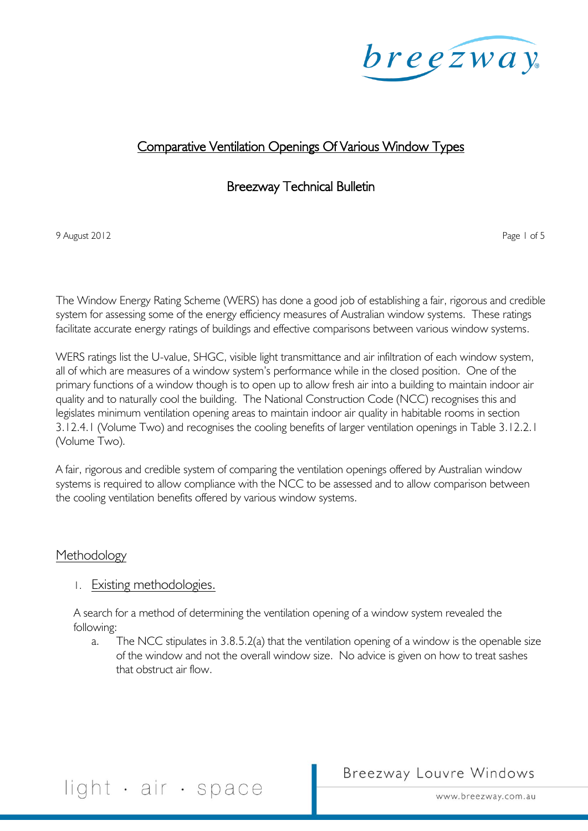

### Comparative Ventilation Openings Of Various Window Types

#### Breezway Technical Bulletin

9 August 2012 **Page 1 of 5 Page 1 of 5** 

The Window Energy Rating Scheme (WERS) has done a good job of establishing a fair, rigorous and credible system for assessing some of the energy efficiency measures of Australian window systems. These ratings facilitate accurate energy ratings of buildings and effective comparisons between various window systems.

WERS ratings list the U-value, SHGC, visible light transmittance and air infiltration of each window system, all of which are measures of a window system's performance while in the closed position. One of the primary functions of a window though is to open up to allow fresh air into a building to maintain indoor air quality and to naturally cool the building. The National Construction Code (NCC) recognises this and legislates minimum ventilation opening areas to maintain indoor air quality in habitable rooms in section 3.12.4.1 (Volume Two) and recognises the cooling benefits of larger ventilation openings in Table 3.12.2.1 (Volume Two).

A fair, rigorous and credible system of comparing the ventilation openings offered by Australian window systems is required to allow compliance with the NCC to be assessed and to allow comparison between the cooling ventilation benefits offered by various window systems.

#### Methodology

#### 1. Existing methodologies.

A search for a method of determining the ventilation opening of a window system revealed the following:

a. The NCC stipulates in 3.8.5.2(a) that the ventilation opening of a window is the openable size of the window and not the overall window size. No advice is given on how to treat sashes that obstruct air flow.

## Breezway Louvre Windows

light · air · space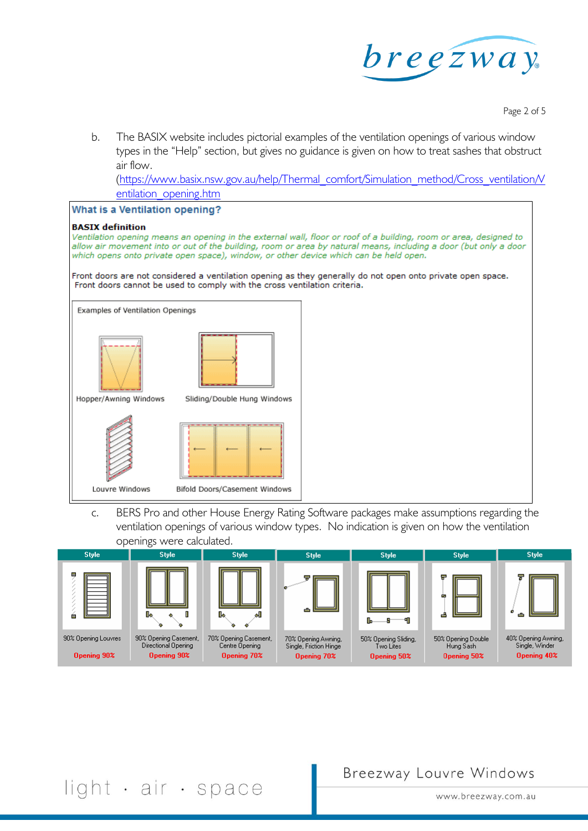

Page 2 of 5

b. The BASIX website includes pictorial examples of the ventilation openings of various window types in the "Help" section, but gives no guidance is given on how to treat sashes that obstruct air flow.

[\(https://www.basix.nsw.gov.au/help/Thermal\\_comfort/Simulation\\_method/Cross\\_ventilation/V](https://www.basix.nsw.gov.au/help/Thermal_comfort/Simulation_method/Cross_ventilation/Ventilation_opening.htm) [entilation\\_opening.htm](https://www.basix.nsw.gov.au/help/Thermal_comfort/Simulation_method/Cross_ventilation/Ventilation_opening.htm)

# **What is a Ventilation opening? BASIX** definition Ventilation opening means an opening in the external wall, floor or roof of a building, room or area, designed to allow air movement into or out of the building, room or area by natural means, including a door (but only a door which opens onto private open space), window, or other device which can be held open. Front doors are not considered a ventilation opening as they generally do not open onto private open space. Front doors cannot be used to comply with the cross ventilation criteria. Examples of Ventilation Openings Hopper/Awning Windows Sliding/Double Hung Windows Louvre Windows Bifold Doors/Casement Windows

c. BERS Pro and other House Energy Rating Software packages make assumptions regarding the ventilation openings of various window types. No indication is given on how the ventilation openings were calculated.



Breezway Louvre Windows

## light · air · space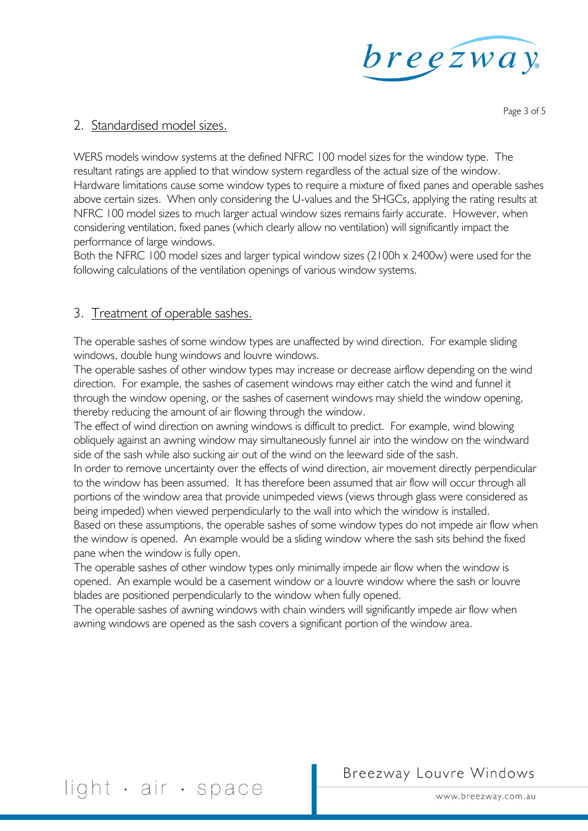

Page 3 of 5

#### 2. Standardised model sizes.

WERS models window systems at the defined NFRC 100 model sizes for the window type. The resultant ratings are applied to that window system regardless of the actual size of the window. Hardware limitations cause some window types to require a mixture of fixed panes and operable sashes above certain sizes. When only considering the U-values and the SHGCs, applying the rating results at NFRC 100 model sizes to much larger actual window sizes remains fairly accurate. However, when considering ventilation, fixed panes (which clearly allow no ventilation) will significantly impact the performance of large windows.

Both the NFRC 100 model sizes and larger typical window sizes (2100h x 2400w) were used for the following calculations of the ventilation openings of various window systems.

#### 3. Treatment of operable sashes.

The operable sashes of some window types are unaffected by wind direction. For example sliding windows, double hung windows and louvre windows.

The operable sashes of other window types may increase or decrease airflow depending on the wind direction. For example, the sashes of casement windows may either catch the wind and funnel it through the window opening, or the sashes of casement windows may shield the window opening, thereby reducing the amount of air flowing through the window.

The effect of wind direction on awning windows is difficult to predict. For example, wind blowing obliquely against an awning window may simultaneously funnel air into the window on the windward side of the sash while also sucking air out of the wind on the leeward side of the sash.

In order to remove uncertainty over the effects of wind direction, air movement directly perpendicular to the window has been assumed. It has therefore been assumed that air flow will occur through all portions of the window area that provide unimpeded views (views through glass were considered as being impeded) when viewed perpendicularly to the wall into which the window is installed.

Based on these assumptions, the operable sashes of some window types do not impede air flow when the window is opened. An example would be a sliding window where the sash sits behind the fixed pane when the window is fully open.

The operable sashes of other window types only minimally impede air flow when the window is opened. An example would be a casement window or a louvre window where the sash or louvre blades are positioned perpendicularly to the window when fully opened.

The operable sashes of awning windows with chain winders will significantly impede air flow when awning windows are opened as the sash covers a significant portion of the window area.

## Breezway Louvre Windows

light · air · space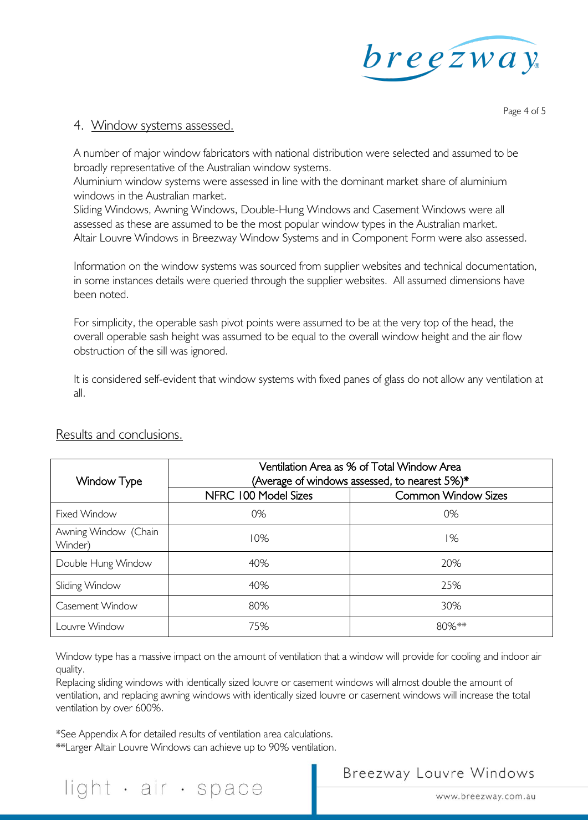

#### 4. Window systems assessed.

Page 4 of 5

A number of major window fabricators with national distribution were selected and assumed to be broadly representative of the Australian window systems.

Aluminium window systems were assessed in line with the dominant market share of aluminium windows in the Australian market.

Sliding Windows, Awning Windows, Double-Hung Windows and Casement Windows were all assessed as these are assumed to be the most popular window types in the Australian market. Altair Louvre Windows in Breezway Window Systems and in Component Form were also assessed.

Information on the window systems was sourced from supplier websites and technical documentation, in some instances details were queried through the supplier websites. All assumed dimensions have been noted.

For simplicity, the operable sash pivot points were assumed to be at the very top of the head, the overall operable sash height was assumed to be equal to the overall window height and the air flow obstruction of the sill was ignored.

It is considered self-evident that window systems with fixed panes of glass do not allow any ventilation at all.

| Window Type                     | Ventilation Area as % of Total Window Area<br>(Average of windows assessed, to nearest 5%)* |                            |  |  |  |  |  |
|---------------------------------|---------------------------------------------------------------------------------------------|----------------------------|--|--|--|--|--|
|                                 | NFRC 100 Model Sizes                                                                        | <b>Common Window Sizes</b> |  |  |  |  |  |
| Fixed Window                    | 0%                                                                                          | 0%                         |  |  |  |  |  |
| Awning Window (Chain<br>Winder) | 10%                                                                                         | 1%                         |  |  |  |  |  |
| Double Hung Window              | 40%                                                                                         | 20%                        |  |  |  |  |  |
| Sliding Window                  | 40%                                                                                         | 25%                        |  |  |  |  |  |
| Casement Window                 | 80%                                                                                         | 30%                        |  |  |  |  |  |
| Louvre Window                   | 75%                                                                                         | $80\%**$                   |  |  |  |  |  |

#### Results and conclusions.

Window type has a massive impact on the amount of ventilation that a window will provide for cooling and indoor air quality.

Replacing sliding windows with identically sized louvre or casement windows will almost double the amount of ventilation, and replacing awning windows with identically sized louvre or casement windows will increase the total ventilation by over 600%.

\*See Appendix A for detailed results of ventilation area calculations.

\*\*Larger Altair Louvre Windows can achieve up to 90% ventilation.

## light · air · space

Breezway Louvre Windows